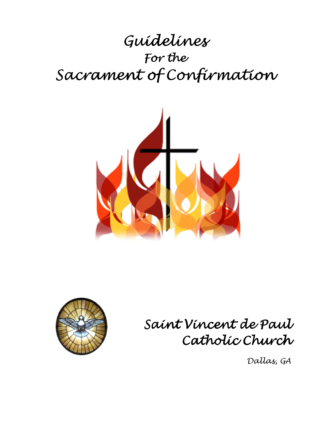# Guidelines For the Sacrament of Confirmation





Saint Vincent de Paul Catholic Church

Dallas, GA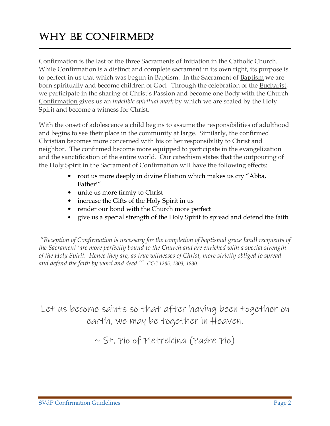## WHY BE CONFIRMED?

Confirmation is the last of the three Sacraments of Initiation in the Catholic Church. While Confirmation is a distinct and complete sacrament in its own right, its purpose is to perfect in us that which was begun in Baptism. In the Sacrament of Baptism we are born spiritually and become children of God. Through the celebration of the Eucharist, we participate in the sharing of Christ's Passion and become one Body with the Church. Confirmation gives us an *indelible spiritual mark* by which we are sealed by the Holy Spirit and become a witness for Christ.

 $\_$  , and the set of the set of the set of the set of the set of the set of the set of the set of the set of the set of the set of the set of the set of the set of the set of the set of the set of the set of the set of th

With the onset of adolescence a child begins to assume the responsibilities of adulthood and begins to see their place in the community at large. Similarly, the confirmed Christian becomes more concerned with his or her responsibility to Christ and neighbor. The confirmed become more equipped to participate in the evangelization and the sanctification of the entire world. Our catechism states that the outpouring of the Holy Spirit in the Sacrament of Confirmation will have the following effects:

- root us more deeply in divine filiation which makes us cry "Abba, Father!"
- unite us more firmly to Christ
- increase the Gifts of the Holy Spirit in us
- render our bond with the Church more perfect
- give us a special strength of the Holy Spirit to spread and defend the faith

 "*Reception of Confirmation is necessary for the completion of baptismal grace [and] recipients of the Sacrament 'are more perfectly bound to the Church and are enriched with a special strength of the Holy Spirit. Hence they are, as true witnesses of Christ, more strictly obliged to spread and defend the faith by word and deed.'" CCC 1285, 1303, 1830.* 

Let us become saints so that after having been together on earth, we may be together in Heaven.

 $\sim$  St. Pio of Pietrelcina (Padre Pio)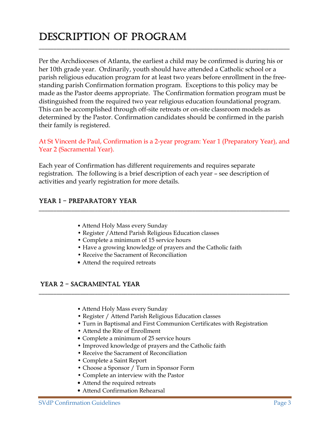## DESCRIPTION OF PROGRAM

Per the Archdioceses of Atlanta, the earliest a child may be confirmed is during his or her 10th grade year. Ordinarily, youth should have attended a Catholic school or a parish religious education program for at least two years before enrollment in the freestanding parish Confirmation formation program. Exceptions to this policy may be made as the Pastor deems appropriate. The Confirmation formation program must be distinguished from the required two year religious education foundational program. This can be accomplished through off-site retreats or on-site classroom models as determined by the Pastor. Confirmation candidates should be confirmed in the parish their family is registered.

\_\_\_\_\_\_\_\_\_\_\_\_\_\_\_\_\_\_\_\_\_\_\_\_\_\_\_\_\_\_\_\_\_\_\_\_\_\_\_\_\_\_\_\_\_\_\_\_\_\_\_\_\_\_\_\_\_\_\_\_\_\_\_\_\_\_\_\_\_\_\_\_\_\_\_\_\_\_\_\_\_\_\_\_\_

#### At St Vincent de Paul, Confirmation is a 2-year program: Year 1 (Preparatory Year), and Year 2 (Sacramental Year).

Each year of Confirmation has different requirements and requires separate registration. The following is a brief description of each year – see description of activities and yearly registration for more details.

#### YEAR 1 - PREPARATORY YEAR

- Attend Holy Mass every Sunday
- Register /Attend Parish Religious Education classes
- Complete a minimum of 15 service hours
- Have a growing knowledge of prayers and the Catholic faith

\_\_\_\_\_\_\_\_\_\_\_\_\_\_\_\_\_\_\_\_\_\_\_\_\_\_\_\_\_\_\_\_\_\_\_\_\_\_\_\_\_\_\_\_\_\_\_\_\_\_\_\_\_\_\_\_\_\_\_\_\_\_\_\_\_\_\_\_\_\_\_\_\_\_\_\_\_\_\_\_\_\_\_\_\_

\_\_\_\_\_\_\_\_\_\_\_\_\_\_\_\_\_\_\_\_\_\_\_\_\_\_\_\_\_\_\_\_\_\_\_\_\_\_\_\_\_\_\_\_\_\_\_\_\_\_\_\_\_\_\_\_\_\_\_\_\_\_\_\_\_\_\_\_\_\_\_\_\_\_\_\_\_\_\_\_\_\_\_\_\_

- Receive the Sacrament of Reconciliation
- Attend the required retreats

#### YEAR 2 - SACRAMENTAL YEAR

- Attend Holy Mass every Sunday
- Register / Attend Parish Religious Education classes
- Turn in Baptismal and First Communion Certificates with Registration
- Attend the Rite of Enrollment
- Complete a minimum of 25 service hours
- Improved knowledge of prayers and the Catholic faith
- Receive the Sacrament of Reconciliation
- Complete a Saint Report
- Choose a Sponsor / Turn in Sponsor Form
- Complete an interview with the Pastor
- Attend the required retreats
- Attend Confirmation Rehearsal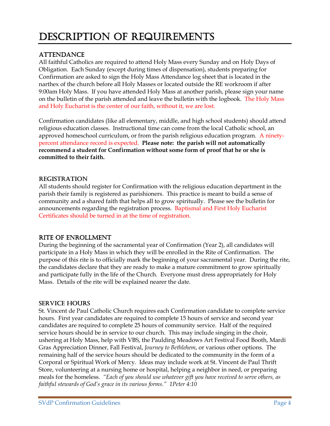### DESCRIPTION OF REQUIREMENTS

#### **ATTENDANCE**

All faithful Catholics are required to attend Holy Mass every Sunday and on Holy Days of Obligation. Each Sunday (except during times of dispensation), students preparing for Confirmation are asked to sign the Holy Mass Attendance log sheet that is located in the narthex of the church before all Holy Masses or located outside the RE workroom if after 9:00am Holy Mass. If you have attended Holy Mass at another parish, please sign your name on the bulletin of the parish attended and leave the bulletin with the logbook. The Holy Mass and Holy Eucharist is the center of our faith, without it, we are lost.

Confirmation candidates (like all elementary, middle, and high school students) should attend religious education classes. Instructional time can come from the local Catholic school, an approved homeschool curriculum, or from the parish religious education program. A ninetypercent attendance record is expected. **Please note: the parish will not automatically recommend a student for Confirmation without some form of proof that he or she is committed to their faith.** 

#### REGISTRATION

All students should register for Confirmation with the religious education department in the parish their family is registered as parishioners. This practice is meant to build a sense of community and a shared faith that helps all to grow spiritually. Please see the bulletin for announcements regarding the registration process. Baptismal and First Holy Eucharist Certificates should be turned in at the time of registration.

#### RITE OF ENROLLMENT

During the beginning of the sacramental year of Confirmation (Year 2), all candidates will participate in a Holy Mass in which they will be enrolled in the Rite of Confirmation. The purpose of this rite is to officially mark the beginning of your sacramental year. During the rite, the candidates declare that they are ready to make a mature commitment to grow spiritually and participate fully in the life of the Church. Everyone must dress appropriately for Holy Mass. Details of the rite will be explained nearer the date.

#### **SERVICE HOURS**

St. Vincent de Paul Catholic Church requires each Confirmation candidate to complete service hours. First year candidates are required to complete 15 hours of service and second year candidates are required to complete 25 hours of community service. Half of the required service hours should be in service to our church. This may include singing in the choir, ushering at Holy Mass, help with VBS, the Paulding Meadows Art Festival Food Booth, Mardi Gras Appreciation Dinner, Fall Festival, *Journey to Bethlehem*, or various other options. The remaining half of the service hours should be dedicated to the community in the form of a Corporal or Spiritual Work of Mercy. Ideas may include work at St. Vincent de Paul Thrift Store, volunteering at a nursing home or hospital, helping a neighbor in need, or preparing meals for the homeless. *"Each of you should use whatever gift you have received to serve others, as faithful stewards of God's grace in its various forms." 1Peter 4:10*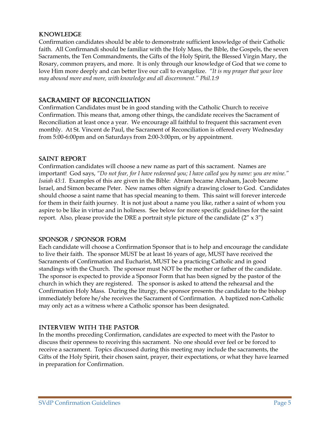#### KNOWLEDGE

Confirmation candidates should be able to demonstrate sufficient knowledge of their Catholic faith. All Confirmandi should be familiar with the Holy Mass, the Bible, the Gospels, the seven Sacraments, the Ten Commandments, the Gifts of the Holy Spirit, the Blessed Virgin Mary, the Rosary, common prayers, and more. It is only through our knowledge of God that we come to love Him more deeply and can better live our call to evangelize. *"It is my prayer that your love may abound more and more, with knowledge and all discernment." Phil.1:9*

#### SACRAMENT OF RECONCILIATION

Confirmation Candidates must be in good standing with the Catholic Church to receive Confirmation. This means that, among other things, the candidate receives the Sacrament of Reconciliation at least once a year. We encourage all faithful to frequent this sacrament even monthly. At St. Vincent de Paul, the Sacrament of Reconciliation is offered every Wednesday from 5:00-6:00pm and on Saturdays from 2:00-3:00pm, or by appointment.

#### SAINT REPORT

Confirmation candidates will choose a new name as part of this sacrament. Names are important! God says, *"Do not fear, for I have redeemed you; I have called you by name: you are mine." Isaiah 43:1.* Examples of this are given in the Bible: Abram became Abraham, Jacob became Israel, and Simon became Peter. New names often signify a drawing closer to God. Candidates should choose a saint name that has special meaning to them. This saint will forever intercede for them in their faith journey. It is not just about a name you like, rather a saint of whom you aspire to be like in virtue and in holiness. See below for more specific guidelines for the saint report. Also, please provide the DRE a portrait style picture of the candidate  $(2'' \times 3'')$ 

#### SPONSOR / SPONSOR FORM

Each candidate will choose a Confirmation Sponsor that is to help and encourage the candidate to live their faith. The sponsor MUST be at least 16 years of age, MUST have received the Sacraments of Confirmation and Eucharist, MUST be a practicing Catholic and in good standings with the Church. The sponsor must NOT be the mother or father of the candidate. The sponsor is expected to provide a Sponsor Form that has been signed by the pastor of the church in which they are registered. The sponsor is asked to attend the rehearsal and the Confirmation Holy Mass. During the liturgy, the sponsor presents the candidate to the bishop immediately before he/she receives the Sacrament of Confirmation. A baptized non-Catholic may only act as a witness where a Catholic sponsor has been designated.

#### INTERVIEW WITH THE PASTOR

In the months preceding Confirmation, candidates are expected to meet with the Pastor to discuss their openness to receiving this sacrament. No one should ever feel or be forced to receive a sacrament. Topics discussed during this meeting may include the sacraments, the Gifts of the Holy Spirit, their chosen saint, prayer, their expectations, or what they have learned in preparation for Confirmation.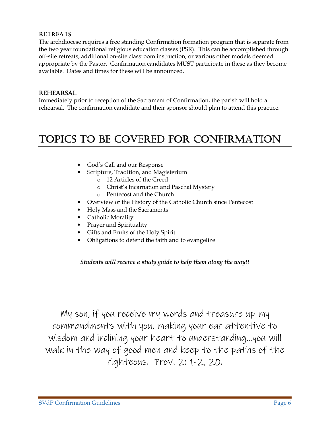#### **RETREATS**

The archdiocese requires a free standing Confirmation formation program that is separate from the two year foundational religious education classes (PSR). This can be accomplished through off-site retreats, additional on-site classroom instruction, or various other models deemed appropriate by the Pastor. Confirmation candidates MUST participate in these as they become available. Dates and times for these will be announced.

#### REHEARSAL

Immediately prior to reception of the Sacrament of Confirmation, the parish will hold a rehearsal. The confirmation candidate and their sponsor should plan to attend this practice.

### TOPICS TO BE COVERED FOR CONFIRMATION

- God's Call and our Response
- Scripture, Tradition, and Magisterium
	- o 12 Articles of the Creed
	- o Christ's Incarnation and Paschal Mystery
	- o Pentecost and the Church
- Overview of the History of the Catholic Church since Pentecost
- Holy Mass and the Sacraments
- Catholic Morality
- Prayer and Spirituality
- Gifts and Fruits of the Holy Spirit
- Obligations to defend the faith and to evangelize

#### *Students will receive a study guide to help them along the way!!*

My son, if you receive my words and treasure up my commandments with you, making your ear attentive to wisdom and inclining your heart to understanding…you will walk in the way of good men and keep to the paths of the righteous. Prov. 2: 1-2, 20.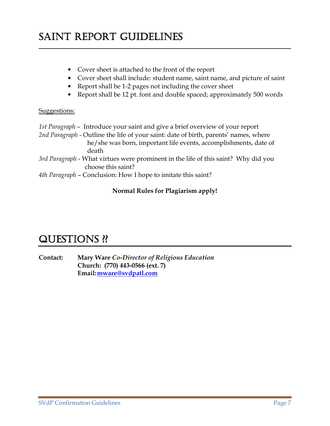## SAINT REPORT GUIDELINES

- Cover sheet is attached to the front of the report
- Cover sheet shall include: student name, saint name, and picture of saint

\_\_\_\_\_\_\_\_\_\_\_\_\_\_\_\_\_\_\_\_\_\_\_\_\_\_\_\_\_\_\_\_\_\_\_\_\_\_\_\_\_\_\_\_\_\_\_\_\_\_\_ \_\_\_\_\_\_\_\_\_\_\_\_\_\_\_\_\_\_\_\_\_\_\_\_\_\_\_\_\_\_\_\_\_\_\_\_\_\_\_\_\_\_\_\_\_\_\_\_\_\_\_\_\_\_\_\_\_\_\_\_\_\_\_\_\_\_\_\_\_ \_\_\_\_\_\_\_\_\_\_\_\_\_\_\_\_\_\_\_\_\_\_\_\_\_\_\_\_\_\_\_\_\_\_ \_\_\_\_\_\_\_\_\_\_\_\_\_\_\_\_ \_\_\_\_\_\_\_\_\_\_\_\_\_\_\_\_

- Report shall be 1-2 pages not including the cover sheet
- Report shall be 12 pt. font and double spaced; approximately 500 words

#### Suggestions:

*1st Paragraph* – Introduce your saint and give a brief overview of your report *2nd Paragraph* - Outline the life of your saint: date of birth, parents' names, where he/she was born, important life events, accomplishments, date of death *3rd Paragraph* - What virtues were prominent in the life of this saint? Why did you choose this saint? *4th Paragraph* – Conclusion: How I hope to imitate this saint?

#### **Normal Rules for Plagiarism apply!**

### QUESTIONS ??

**Contact: Mary Ware** *Co-Director of Religious Education*   **Church: (770) 443-0566 (ext. 7) Email: mware@svdpatl.com**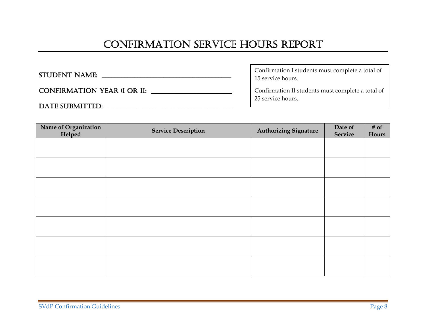# CONFIRMATION SERVICE HOURS REPORT

л

| STUDENT NAME:                      | Confirmation I students must complete a total of<br>15 service hours.  |
|------------------------------------|------------------------------------------------------------------------|
| <b>CONFIRMATION YEAR (I OR II:</b> | Confirmation II students must complete a total of<br>25 service hours. |
| DATE SUBMITTED:                    |                                                                        |

| Name of Organization | <b>Service Description</b> | Authorizing Signature | Date of | $#$ of |
|----------------------|----------------------------|-----------------------|---------|--------|
| Helped               |                            |                       | Service | Hours  |
|                      |                            |                       |         |        |
|                      |                            |                       |         |        |
|                      |                            |                       |         |        |
|                      |                            |                       |         |        |
|                      |                            |                       |         |        |
|                      |                            |                       |         |        |
|                      |                            |                       |         |        |
|                      |                            |                       |         |        |
|                      |                            |                       |         |        |
|                      |                            |                       |         |        |
|                      |                            |                       |         |        |
|                      |                            |                       |         |        |
|                      |                            |                       |         |        |
|                      |                            |                       |         |        |
|                      |                            |                       |         |        |
|                      |                            |                       |         |        |
|                      |                            |                       |         |        |
|                      |                            |                       |         |        |
|                      |                            |                       |         |        |
|                      |                            |                       |         |        |
|                      |                            |                       |         |        |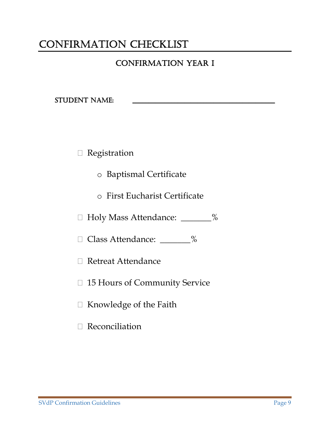## CONFIRMATION CHECKLIST

### **CONFIRMATION YEAR I**

STUDENT NAME:

Registration

- o Baptismal Certificate
- o First Eucharist Certificate

Holy Mass Attendance: \_\_\_\_\_\_\_%

Class Attendance: \_\_\_\_\_\_\_%

Retreat Attendance

15 Hours of Community Service

Knowledge of the Faith

Reconciliation